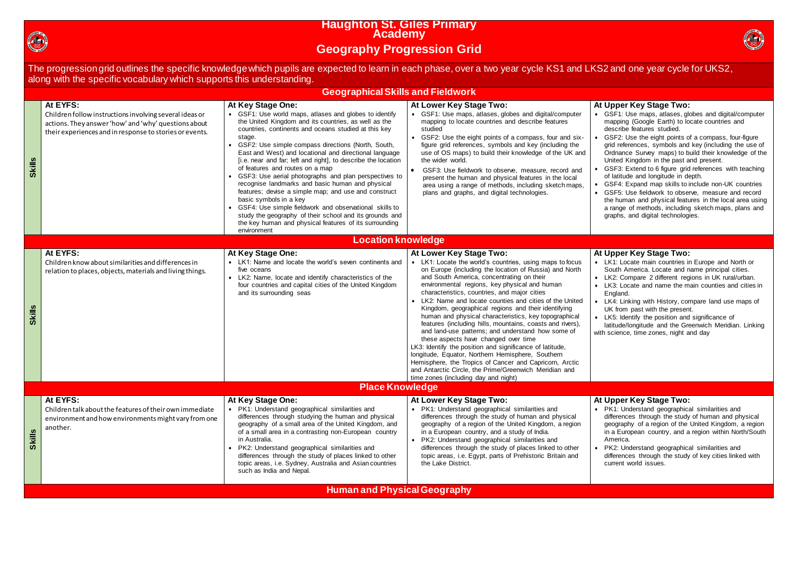

# **Haughton St. Giles Primary Academy Geography Progression Grid**

The progression grid outlines the specific knowledge which pupils are expected to learn in each phase, over a two year cycle KS1 and LKS2 and one year cycle for UKS2, along with the specific vocabulary which supports this understanding.

#### **At Upper Key Stage Two:**

- LK1: Locate main countries in Europe and North or South America. Locate and name principal cities. LK2: Compare 2 different regions in UK rural/urban. LK3: Locate and name the main counties and cities in England.
- LK4: Linking with History, compare land use maps of UK from past with the present.
- LK5: Identify the position and significance of
- latitude/longitude and the Greenwich Meridian. Linking th science, time zones, night and day
- GSF1: Use maps, atlases, globes and digital/computer mapping (Google Earth) to locate countries and describe features studied.
- GSF2: Use the eight points of a compass, four-figure grid references, symbols and key (including the use of Ordnance Survey maps) to build their knowledge of the United Kingdom in the past and present.
- GSF3: Extend to 6 figure grid references with teaching of latitude and longitude in depth.
- GSF4: Expand map skills to include non-UK countries GSF5: Use fieldwork to observe, measure and record the human and physical features in the local area using a range of methods, including sketch maps, plans and graphs, and digital technologies.

#### **Upper Key Stage Two:**

| At EYFS:<br>At Key Stage One:<br>At Lower Key Stage Two:<br>• GSF1: Use world maps, atlases and globes to identify<br>• GSF1: Use maps, atlases, globes and digital/computer<br>Children follow instructions involving several ideas or<br>the United Kingdom and its countries, as well as the<br>mapping to locate countries and describe features<br>actions. They answer 'how' and 'why' questions about<br>countries, continents and oceans studied at this key<br>studied<br>their experiences and in response to stories or events.<br>• GSF2: Use the eight points of a compass, four and six-<br>stage.<br>• GSF2: Use simple compass directions (North, South,<br>figure grid references, symbols and key (including the<br>use of OS maps) to build their knowledge of the UK and<br>East and West) and locational and directional language<br>the wider world.<br><b>Skills</b><br>[i.e. near and far; left and right], to describe the location<br>of features and routes on a map<br>GSF3: Use fieldwork to observe, measure, record and<br>• GSF3: Use aerial photographs and plan perspectives to<br>present the human and physical features in the local<br>recognise landmarks and basic human and physical<br>area using a range of methods, including sketch maps,<br>features; devise a simple map; and use and construct<br>plans and graphs, and digital technologies.<br>basic symbols in a key<br>• GSF4: Use simple fieldwork and observational skills to<br>study the geography of their school and its grounds and<br>the key human and physical features of its surrounding<br>environment<br><b>Location knowledge</b><br>At EYFS:<br>At Key Stage One:<br>At Lower Key Stage Two:<br>• LK1: Name and locate the world's seven continents and<br>• LK1: Locate the world's countries, using maps to focus<br>Children know about similarities and differences in<br>on Europe (including the location of Russia) and North<br>five oceans<br>relation to places, objects, materials and living things.<br>and South America, concentrating on their<br>• LK2: Name, locate and identify characteristics of the<br>environmental regions, key physical and human<br>four countries and capital cities of the United Kingdom<br>characteristics, countries, and major cities<br>and its surrounding seas<br>LK2: Name and locate counties and cities of the United<br><b>Skills</b><br>Kingdom, geographical regions and their identifying<br>human and physical characteristics, key topographical<br>features (including hills, mountains, coasts and rivers),<br>and land-use patterns; and understand how some of<br>these aspects have changed over time<br>LK3: Identify the position and significance of latitude,<br>longitude, Equator, Northern Hemisphere, Southern<br>Hemisphere, the Tropics of Cancer and Capricorn, Arctic<br>and Antarctic Circle, the Prime/Greenwich Meridian and<br>time zones (including day and night)<br><b>Place Knowledge</b><br>At EYFS:<br>At Key Stage One:<br>At Lower Key Stage Two:<br>• PK1: Understand geographical similarities and<br>• PK1: Understand geographical similarities and<br>Children talk about the features of their own immediate<br>differences through studying the human and physical<br>differences through the study of human and physical<br>environment and how environments might vary from one<br>geography of a small area of the United Kingdom, and<br>geography of a region of the United Kingdom, a region<br>another.<br>of a small area in a contrasting non-European country<br>in a European country, and a study of India.<br><b>Skills</b><br>in Australia.<br>• PK2: Understand geographical similarities and<br>• PK2: Understand geographical similarities and<br>differences through the study of places linked to other<br>differences through the study of places linked to other<br>topic areas, i.e. Egypt, parts of Prehistoric Britain and<br>topic areas, i.e. Sydney, Australia and Asian countries<br>the Lake District.<br>such as India and Nepal. |  | <b>Geographical Skills and Fieldwork</b> |                                                               |
|------------------------------------------------------------------------------------------------------------------------------------------------------------------------------------------------------------------------------------------------------------------------------------------------------------------------------------------------------------------------------------------------------------------------------------------------------------------------------------------------------------------------------------------------------------------------------------------------------------------------------------------------------------------------------------------------------------------------------------------------------------------------------------------------------------------------------------------------------------------------------------------------------------------------------------------------------------------------------------------------------------------------------------------------------------------------------------------------------------------------------------------------------------------------------------------------------------------------------------------------------------------------------------------------------------------------------------------------------------------------------------------------------------------------------------------------------------------------------------------------------------------------------------------------------------------------------------------------------------------------------------------------------------------------------------------------------------------------------------------------------------------------------------------------------------------------------------------------------------------------------------------------------------------------------------------------------------------------------------------------------------------------------------------------------------------------------------------------------------------------------------------------------------------------------------------------------------------------------------------------------------------------------------------------------------------------------------------------------------------------------------------------------------------------------------------------------------------------------------------------------------------------------------------------------------------------------------------------------------------------------------------------------------------------------------------------------------------------------------------------------------------------------------------------------------------------------------------------------------------------------------------------------------------------------------------------------------------------------------------------------------------------------------------------------------------------------------------------------------------------------------------------------------------------------------------------------------------------------------------------------------------------------------------------------------------------------------------------------------------------------------------------------------------------------------------------------------------------------------------------------------------------------------------------------------------------------------------------------------------------------------------------------------------------------------------------------------------------------------------------------------------------------------------------------------------------------------------------------------------------------------------------------------------------------------------------------------------------------------------------------------------------------------------------------------------------------------|--|------------------------------------------|---------------------------------------------------------------|
|                                                                                                                                                                                                                                                                                                                                                                                                                                                                                                                                                                                                                                                                                                                                                                                                                                                                                                                                                                                                                                                                                                                                                                                                                                                                                                                                                                                                                                                                                                                                                                                                                                                                                                                                                                                                                                                                                                                                                                                                                                                                                                                                                                                                                                                                                                                                                                                                                                                                                                                                                                                                                                                                                                                                                                                                                                                                                                                                                                                                                                                                                                                                                                                                                                                                                                                                                                                                                                                                                                                                                                                                                                                                                                                                                                                                                                                                                                                                                                                                                                                                                    |  |                                          | At<br>$\bullet$                                               |
|                                                                                                                                                                                                                                                                                                                                                                                                                                                                                                                                                                                                                                                                                                                                                                                                                                                                                                                                                                                                                                                                                                                                                                                                                                                                                                                                                                                                                                                                                                                                                                                                                                                                                                                                                                                                                                                                                                                                                                                                                                                                                                                                                                                                                                                                                                                                                                                                                                                                                                                                                                                                                                                                                                                                                                                                                                                                                                                                                                                                                                                                                                                                                                                                                                                                                                                                                                                                                                                                                                                                                                                                                                                                                                                                                                                                                                                                                                                                                                                                                                                                                    |  |                                          |                                                               |
|                                                                                                                                                                                                                                                                                                                                                                                                                                                                                                                                                                                                                                                                                                                                                                                                                                                                                                                                                                                                                                                                                                                                                                                                                                                                                                                                                                                                                                                                                                                                                                                                                                                                                                                                                                                                                                                                                                                                                                                                                                                                                                                                                                                                                                                                                                                                                                                                                                                                                                                                                                                                                                                                                                                                                                                                                                                                                                                                                                                                                                                                                                                                                                                                                                                                                                                                                                                                                                                                                                                                                                                                                                                                                                                                                                                                                                                                                                                                                                                                                                                                                    |  |                                          | At<br>$\bullet$<br>$\bullet$<br>$\bullet$<br>$\bullet$<br>wit |
|                                                                                                                                                                                                                                                                                                                                                                                                                                                                                                                                                                                                                                                                                                                                                                                                                                                                                                                                                                                                                                                                                                                                                                                                                                                                                                                                                                                                                                                                                                                                                                                                                                                                                                                                                                                                                                                                                                                                                                                                                                                                                                                                                                                                                                                                                                                                                                                                                                                                                                                                                                                                                                                                                                                                                                                                                                                                                                                                                                                                                                                                                                                                                                                                                                                                                                                                                                                                                                                                                                                                                                                                                                                                                                                                                                                                                                                                                                                                                                                                                                                                                    |  |                                          |                                                               |
|                                                                                                                                                                                                                                                                                                                                                                                                                                                                                                                                                                                                                                                                                                                                                                                                                                                                                                                                                                                                                                                                                                                                                                                                                                                                                                                                                                                                                                                                                                                                                                                                                                                                                                                                                                                                                                                                                                                                                                                                                                                                                                                                                                                                                                                                                                                                                                                                                                                                                                                                                                                                                                                                                                                                                                                                                                                                                                                                                                                                                                                                                                                                                                                                                                                                                                                                                                                                                                                                                                                                                                                                                                                                                                                                                                                                                                                                                                                                                                                                                                                                                    |  |                                          | At<br>$\bullet$                                               |



#### **At Upper Key Stage Two:**

- PK1: Understand geographical similarities and differences through the study of human and physical geography of a region of the United Kingdom, a region in a European country, and a region within North/South America.
- PK2: Understand geographical similarities and differences through the study of key cities linked with current world issues.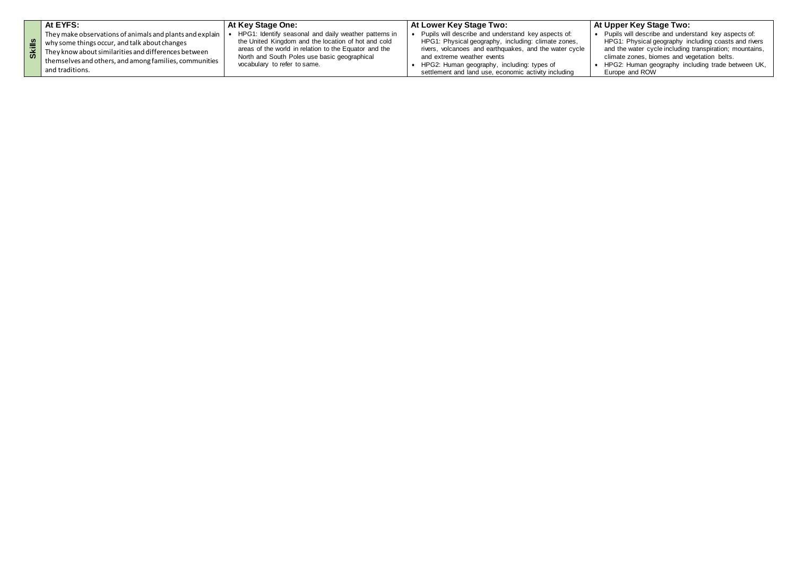|           | At EYFS:                                                                                                                                                                                                                                       | <b>At Key Stage One:</b>                                                                                                                                                                                                                              | At Lower Key Stage Two:                                                                                                                                                                                                                                                                                  |  |
|-----------|------------------------------------------------------------------------------------------------------------------------------------------------------------------------------------------------------------------------------------------------|-------------------------------------------------------------------------------------------------------------------------------------------------------------------------------------------------------------------------------------------------------|----------------------------------------------------------------------------------------------------------------------------------------------------------------------------------------------------------------------------------------------------------------------------------------------------------|--|
| <u> ທ</u> | They make observations of animals and plants and explain<br>why some things occur, and talk about changes<br>They know about similarities and differences between<br>themselves and others, and among families, communities<br>and traditions. | HPG1: Identify seasonal and daily weather patterns in<br>the United Kingdom and the location of hot and cold<br>areas of the world in relation to the Equator and the<br>North and South Poles use basic geographical<br>vocabulary to refer to same. | Pupils will describe and understand key aspects of:<br>HPG1: Physical geography, including: climate zones,<br>rivers, volcanoes and earthquakes, and the water cycle<br>and extreme weather events<br>HPG2: Human geography, including: types of<br>settlement and land use, economic activity including |  |

## **At Upper Key Stage Two:**

 Pupils will describe and understand key aspects of: HPG1: Physical geography including coasts and rivers and the water cycle including transpiration; mountains, climate zones, biomes and vegetation belts. HPG2: Human geography including trade between UK, Europe and ROW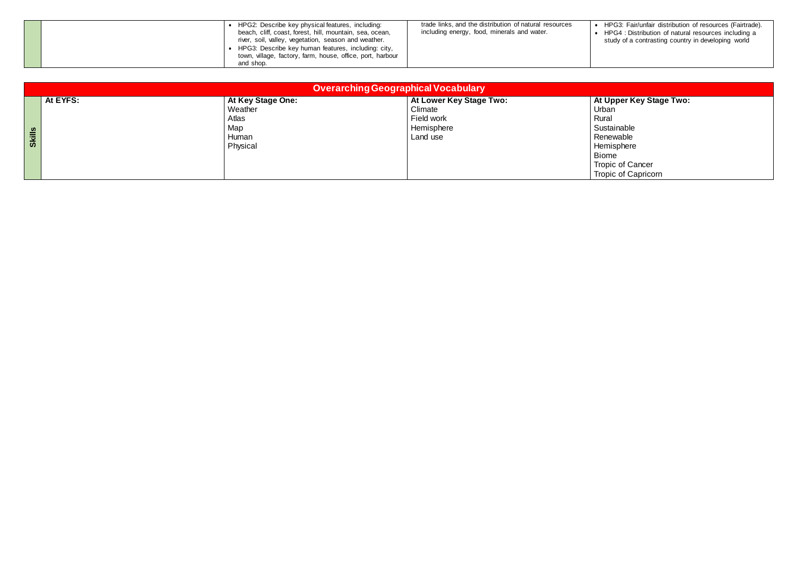| HPG2: Describe key physical features, including:<br>beach, cliff, coast, forest, hill, mountain, sea, ocean,<br>river, soil, valley, vegetation, season and weather.<br>HPG3: Describe key human features, including: city,<br>town, village, factory, farm, house, office, port, harbour<br>and shop. | trade links, and the distribution of natural resources<br>including energy, food, minerals and water. |  |
|--------------------------------------------------------------------------------------------------------------------------------------------------------------------------------------------------------------------------------------------------------------------------------------------------------|-------------------------------------------------------------------------------------------------------|--|
|--------------------------------------------------------------------------------------------------------------------------------------------------------------------------------------------------------------------------------------------------------------------------------------------------------|-------------------------------------------------------------------------------------------------------|--|

 HPG3: Fair/unfair distribution of resources (Fairtrade). HPG4 : Distribution of natural resources including a study of a contrasting country in developing world

**t Upper Key Stage Two:**<br>rban iome<sup>'</sup> opic of Cancer Tropic of Capricorn

|               |          |                                                                   | <b>Overarching Geographical Vocabulary</b>                                 |                                                                                                                        |
|---------------|----------|-------------------------------------------------------------------|----------------------------------------------------------------------------|------------------------------------------------------------------------------------------------------------------------|
| <b>Skills</b> | At EYFS: | At Key Stage One:<br>Weather<br>Atlas<br>Map<br>Human<br>Physical | At Lower Key Stage Two:<br>Climate<br>Field work<br>Hemisphere<br>Land use | At Upper K<br>Urban<br>Rural<br>Sustainable<br>Renewable<br>Hemisphere<br><b>Biome</b><br>Tropic of Ca<br>Tropic of Ca |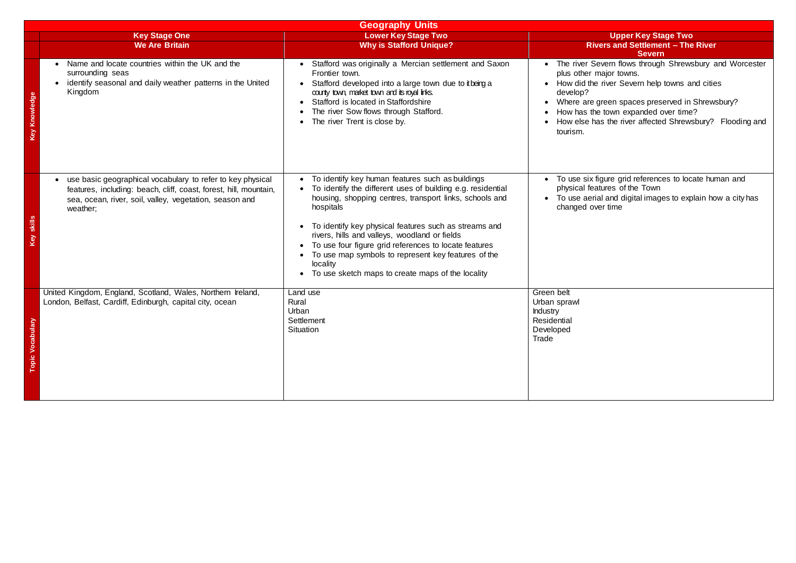**Severn** evern flows through Shrewsbury and Worcester najor towns. i river Severn help towns and cities green spaces preserved in Shrewsbury? town expanded over time? as the river affected Shrewsbury? Flooding and

 To use six figure grid references to locate human and physical features of the Town al and digital images to explain how a city has er time

|                                                                                                                                                                                                        | <b>Geography Units</b>                                                                                                                                                                                                                                                                                                                                                                                                                                                             |                                                                                                                                                                                                                                                                                            |
|--------------------------------------------------------------------------------------------------------------------------------------------------------------------------------------------------------|------------------------------------------------------------------------------------------------------------------------------------------------------------------------------------------------------------------------------------------------------------------------------------------------------------------------------------------------------------------------------------------------------------------------------------------------------------------------------------|--------------------------------------------------------------------------------------------------------------------------------------------------------------------------------------------------------------------------------------------------------------------------------------------|
| <b>Key Stage One</b><br><b>We Are Britain</b>                                                                                                                                                          | <b>Lower Key Stage Two</b><br><b>Why is Stafford Unique?</b>                                                                                                                                                                                                                                                                                                                                                                                                                       | <b>Upper Key Stage Two</b><br><b>Rivers and Settlement - The River</b><br><b>Severn</b>                                                                                                                                                                                                    |
| Name and locate countries within the UK and the<br>surrounding seas<br>identify seasonal and daily weather patterns in the United<br>Kingdom                                                           | Stafford was originally a Mercian settlement and Saxon<br>Frontier town.<br>Stafford developed into a large town due to it being a<br>county town, market town and its royal links.<br>Stafford is located in Staffordshire<br>The river Sow flows through Stafford.<br>The river Trent is close by.                                                                                                                                                                               | • The river Severn flows through Shrewsbury a<br>plus other major towns.<br>• How did the river Severn help towns and citie<br>develop?<br>Where are green spaces preserved in Shrews<br>How has the town expanded over time?<br>• How else has the river affected Shrewsbury?<br>tourism. |
| use basic geographical vocabulary to refer to key physical<br>features, including: beach, cliff, coast, forest, hill, mountain,<br>sea, ocean, river, soil, valley, vegetation, season and<br>weather; | To identify key human features such as buildings<br>To identify the different uses of building e.g. residential<br>housing, shopping centres, transport links, schools and<br>hospitals<br>To identify key physical features such as streams and<br>rivers, hills and valleys, woodland or fields<br>To use four figure grid references to locate features<br>To use map symbols to represent key features of the<br>locality<br>To use sketch maps to create maps of the locality | To use six figure grid references to locate hun<br>physical features of the Town<br>To use aerial and digital images to explain hot<br>changed over time                                                                                                                                   |
| United Kingdom, England, Scotland, Wales, Northern Ireland,<br>London, Belfast, Cardiff, Edinburgh, capital city, ocean                                                                                | Land use<br>Rural<br>Urban<br>Settlement<br>Situation                                                                                                                                                                                                                                                                                                                                                                                                                              | Green belt<br>Urban sprawl<br><b>Industry</b><br>Residential<br>Developed<br>Trade                                                                                                                                                                                                         |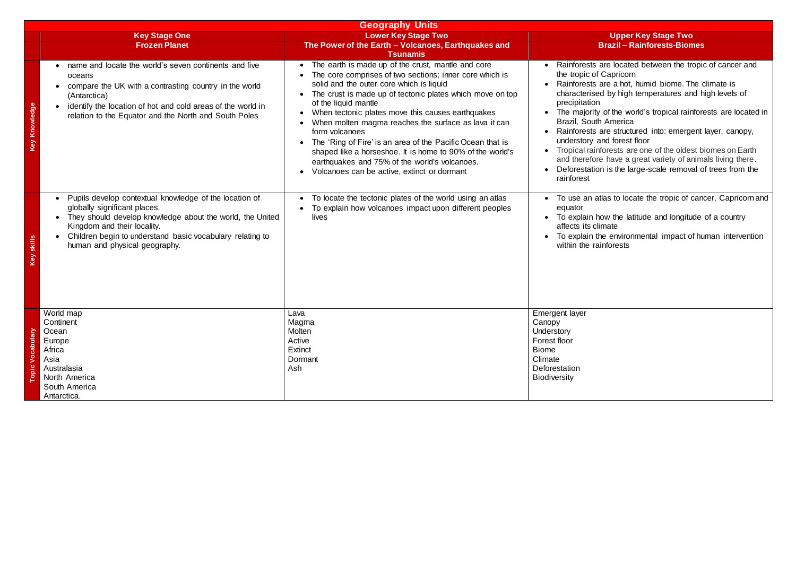## **Key Stage Two Brazil – Rainforests-Biomes**

- are located between the tropic of cancer and Capricorn
- are a hot, humid biome. The climate is d by high temperatures and high levels of
- of the world's tropical rainforests are located in America
- are structured into: emergent layer, canopy, nd forest floor
- forests are one of the oldest biomes on Earth
- have a great variety of animals living there.
- n is the large-scale removal of trees from the

tlas to locate the tropic of cancer, Capricorn and

- ow the latitude and longitude of a country mate
- The environmental impact of human intervention inforests

|                      |                                                                                                                                                                                                                                                                                               | <b>Geography Units</b>                                                                                                                                                                                                                                                                                                                                                                                                                                                                                                                                                                                                                          |                                                                                                                                                                                                                         |
|----------------------|-----------------------------------------------------------------------------------------------------------------------------------------------------------------------------------------------------------------------------------------------------------------------------------------------|-------------------------------------------------------------------------------------------------------------------------------------------------------------------------------------------------------------------------------------------------------------------------------------------------------------------------------------------------------------------------------------------------------------------------------------------------------------------------------------------------------------------------------------------------------------------------------------------------------------------------------------------------|-------------------------------------------------------------------------------------------------------------------------------------------------------------------------------------------------------------------------|
|                      | <b>Key Stage One</b><br><b>Frozen Planet</b>                                                                                                                                                                                                                                                  | <b>Lower Key Stage Two</b><br>The Power of the Earth - Volcanoes, Earthquakes and<br><b>Tsunamis</b>                                                                                                                                                                                                                                                                                                                                                                                                                                                                                                                                            |                                                                                                                                                                                                                         |
| <b>Key Knowledge</b> | name and locate the world's seven continents and five<br>oceans<br>compare the UK with a contrasting country in the world<br>(Antarctica)<br>identify the location of hot and cold areas of the world in<br>$\bullet$<br>relation to the Equator and the North and South Poles                | The earth is made up of the crust, mantle and core<br>$\bullet$<br>The core comprises of two sections; inner core which is<br>solid and the outer core which is liquid<br>The crust is made up of tectonic plates which move on top<br>of the liquid mantle<br>When tectonic plates move this causes earthquakes<br>When molten magma reaches the surface as lava it can<br>form volcanoes<br>The 'Ring of Fire' is an area of the Pacific Ocean that is<br>$\bullet$<br>shaped like a horseshoe. It is home to 90% of the world's<br>earthquakes and 75% of the world's volcanoes.<br>Volcanoes can be active, extinct or dormant<br>$\bullet$ | Rainforests a<br>the tropic of (<br>Rainforests a<br>characterised<br>precipitation<br>The majority<br>Brazil, South<br>Rainforests a<br>understory a<br>Tropical rainf<br>and therefore<br>Deforestation<br>rainforest |
| skills<br>Q          | Pupils develop contextual knowledge of the location of<br>$\bullet$<br>globally significant places.<br>They should develop knowledge about the world, the United<br>Kingdom and their locality.<br>Children begin to understand basic vocabulary relating to<br>human and physical geography. | To locate the tectonic plates of the world using an atlas<br>$\bullet$<br>To explain how volcanoes impact upon different peoples<br>lives                                                                                                                                                                                                                                                                                                                                                                                                                                                                                                       | To use an at<br>$\bullet$<br>equator<br>To explain ho<br>affects its clin<br>To explain th<br>within the rai                                                                                                            |
| Vocabulary<br>opic   | World map<br>Continent<br>Ocean<br>Europe<br>Africa<br>Asia<br>Australasia<br>North America<br>South America<br>Antarctica.                                                                                                                                                                   | Lava<br>Magma<br>Molten<br>Active<br>Extinct<br>Dormant<br>Ash                                                                                                                                                                                                                                                                                                                                                                                                                                                                                                                                                                                  | Emergent layer<br>Canopy<br>Understory<br>Forest floor<br><b>Biome</b><br>Climate<br>Deforestation<br><b>Biodiversity</b>                                                                                               |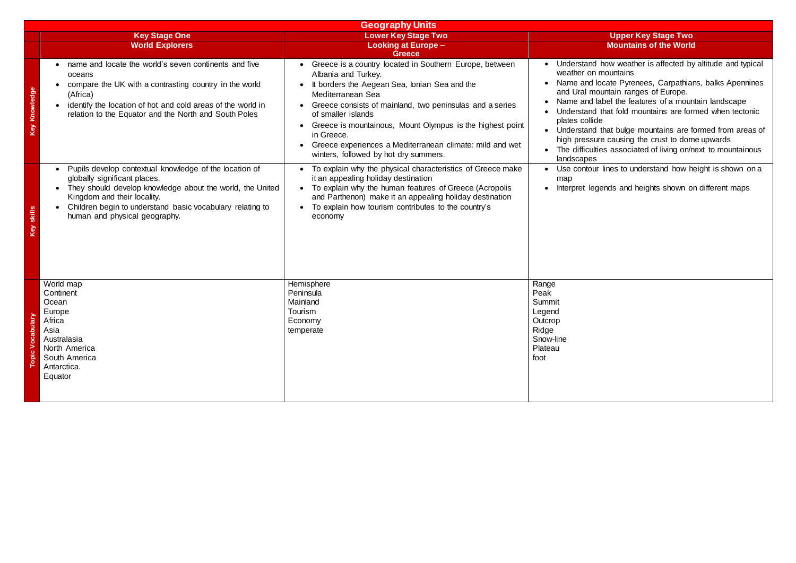## **Key Stage Two Mountains of the World**

- how weather is affected by altitude and typical mountains
- ocate Pyrenees, Carpathians, balks Apennines buntain ranges of Europe.
- abel the features of a mountain landscape that fold mountains are formed when tectonic<br>le
- that bulge mountains are formed from areas of high pressure causing the crust to dome upwards
- ies associated of living on/next to mountainous

 $\cdot$  lines to understand how height is shown on a

gends and heights shown on different maps

|                                  | <b>Geography Units</b>                                                                                                                                                                                                                                                                        |                                                                                                                                                                                                                                                                                                                                                                                                                                       |                                                                                                                                                                                             |  |  |
|----------------------------------|-----------------------------------------------------------------------------------------------------------------------------------------------------------------------------------------------------------------------------------------------------------------------------------------------|---------------------------------------------------------------------------------------------------------------------------------------------------------------------------------------------------------------------------------------------------------------------------------------------------------------------------------------------------------------------------------------------------------------------------------------|---------------------------------------------------------------------------------------------------------------------------------------------------------------------------------------------|--|--|
|                                  | <b>Key Stage One</b>                                                                                                                                                                                                                                                                          | <b>Lower Key Stage Two</b>                                                                                                                                                                                                                                                                                                                                                                                                            |                                                                                                                                                                                             |  |  |
|                                  | <b>World Explorers</b>                                                                                                                                                                                                                                                                        | <b>Looking at Europe -</b><br><b>Greece</b>                                                                                                                                                                                                                                                                                                                                                                                           |                                                                                                                                                                                             |  |  |
| Knowledge<br>Key                 | name and locate the world's seven continents and five<br>oceans<br>compare the UK with a contrasting country in the world<br>(Africa)<br>identify the location of hot and cold areas of the world in<br>relation to the Equator and the North and South Poles                                 | • Greece is a country located in Southern Europe, between<br>Albania and Turkey.<br>It borders the Aegean Sea, Ionian Sea and the<br>Mediterranean Sea<br>Greece consists of mainland, two peninsulas and a series<br>of smaller islands<br>Greece is mountainous, Mount Olympus is the highest point<br>$\bullet$<br>in Greece.<br>Greece experiences a Mediterranean climate: mild and wet<br>winters, followed by hot dry summers. | Understand h<br>weather on n<br>Name and lo<br>and Ural mou<br>Name and la<br>Understand t<br>plates collide<br>Understand t<br>$\bullet$<br>high pressure<br>The difficultie<br>landscapes |  |  |
| skills<br>Κeλ                    | Pupils develop contextual knowledge of the location of<br>$\bullet$<br>globally significant places.<br>They should develop knowledge about the world, the United<br>Kingdom and their locality.<br>Children begin to understand basic vocabulary relating to<br>human and physical geography. | To explain why the physical characteristics of Greece make<br>it an appealing holiday destination<br>To explain why the human features of Greece (Acropolis<br>and Parthenon) make it an appealing holiday destination<br>To explain how tourism contributes to the country's<br>economy                                                                                                                                              | Use contour<br>map<br>Interpret lege                                                                                                                                                        |  |  |
| ≧.<br>Vocabul<br>$\bullet$<br>ja | World map<br>Continent<br>Ocean<br>Europe<br>Africa<br>Asia<br>Australasia<br>North America<br>South America<br>Antarctica.<br>Equator                                                                                                                                                        | Hemisphere<br>Peninsula<br>Mainland<br>Tourism<br>Economy<br>temperate                                                                                                                                                                                                                                                                                                                                                                | Range<br>Peak<br>Summit<br>Legend<br>Outcrop<br>Ridge<br>Snow-line<br>Plateau<br>foot                                                                                                       |  |  |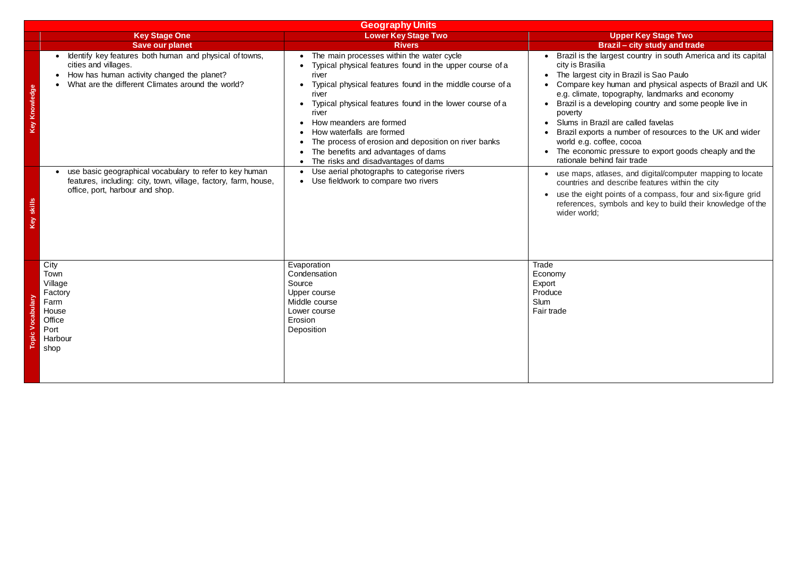|                      |                                                                                                                                                                                                 | <b>Geography Units</b>                                                                                                                                                                                                                                                                                                                                                                                                                                                                         |                                                                                                                                                                                                     |  |  |
|----------------------|-------------------------------------------------------------------------------------------------------------------------------------------------------------------------------------------------|------------------------------------------------------------------------------------------------------------------------------------------------------------------------------------------------------------------------------------------------------------------------------------------------------------------------------------------------------------------------------------------------------------------------------------------------------------------------------------------------|-----------------------------------------------------------------------------------------------------------------------------------------------------------------------------------------------------|--|--|
|                      | <b>Key Stage One</b>                                                                                                                                                                            | <b>Lower Key Stage Two</b>                                                                                                                                                                                                                                                                                                                                                                                                                                                                     |                                                                                                                                                                                                     |  |  |
|                      | <b>Save our planet</b>                                                                                                                                                                          | <b>Rivers</b>                                                                                                                                                                                                                                                                                                                                                                                                                                                                                  |                                                                                                                                                                                                     |  |  |
| <b>Key Knowledge</b> | Identify key features both human and physical of towns,<br>$\bullet$<br>cities and villages.<br>How has human activity changed the planet?<br>What are the different Climates around the world? | The main processes within the water cycle<br>$\bullet$<br>Typical physical features found in the upper course of a<br>river<br>Typical physical features found in the middle course of a<br>river<br>Typical physical features found in the lower course of a<br>$\bullet$<br>river<br>How meanders are formed<br>How waterfalls are formed<br>The process of erosion and deposition on river banks<br>The benefits and advantages of dams<br>$\bullet$<br>The risks and disadvantages of dams | Brazil is the<br>city is Brasili<br>The largest<br>Compare ke<br>e.g. climate,<br>Brazil is a de<br>poverty<br>Slums in Bra<br><b>Brazil export</b><br>world e.g. co<br>The econom<br>rationale bel |  |  |
| skills<br>Yey        | use basic geographical vocabulary to refer to key human<br>features, including: city, town, village, factory, farm, house,<br>office, port, harbour and shop.                                   | Use aerial photographs to categorise rivers<br>$\bullet$<br>Use fieldwork to compare two rivers<br>$\bullet$                                                                                                                                                                                                                                                                                                                                                                                   | use maps, a<br>countries an<br>use the eigh<br>references, s<br>wider world;                                                                                                                        |  |  |
| ><br>opic            | City<br>Town<br>Village<br>Factory<br>Farm<br>House<br>Office<br>Port<br>Harbour<br>shop                                                                                                        | Evaporation<br>Condensation<br>Source<br>Upper course<br>Middle course<br>Lower course<br>Erosion<br>Deposition                                                                                                                                                                                                                                                                                                                                                                                | Trade<br>Economy<br>Export<br>Produce<br>Slum<br>Fair trade                                                                                                                                         |  |  |

**Key Stage Two Brazil – city study and trade** 

largest country in south America and its capital lia

city in Brazil is Sao Paulo

ey human and physical aspects of Brazil and UK topography, landmarks and economy eveloping country and some people live in

azil are called favelas

ts a number of resources to the UK and wider offee, cocoa

nic pressure to export goods cheaply and the hind fair trade

 use maps, atlases, and digital/computer mapping to locate countries and describe features within the city

> nt points of a compass, four and six-figure grid symbols and key to build their knowledge of the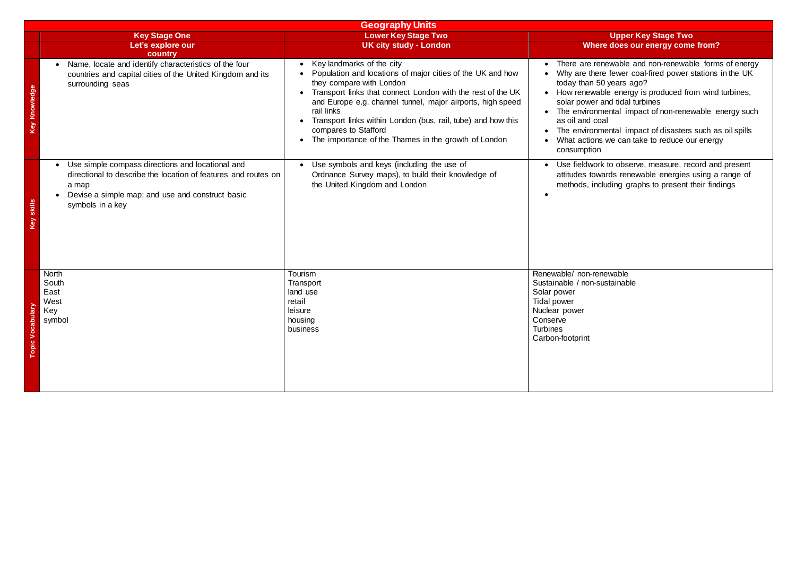|                      |                                                                                                                                                                                                                               | <b>Geography Units</b>                                                                                                                                                                                                                                                                                                                                                                                                                   |                                                                                                                                                           |
|----------------------|-------------------------------------------------------------------------------------------------------------------------------------------------------------------------------------------------------------------------------|------------------------------------------------------------------------------------------------------------------------------------------------------------------------------------------------------------------------------------------------------------------------------------------------------------------------------------------------------------------------------------------------------------------------------------------|-----------------------------------------------------------------------------------------------------------------------------------------------------------|
|                      | <b>Key Stage One</b><br>Let's explore our<br>country                                                                                                                                                                          | <b>Lower Key Stage Two</b><br><b>UK city study - London</b>                                                                                                                                                                                                                                                                                                                                                                              | Wher                                                                                                                                                      |
| <b>Key Knowledge</b> | Name, locate and identify characteristics of the four<br>$\bullet$<br>countries and capital cities of the United Kingdom and its<br>surrounding seas                                                                          | Key landmarks of the city<br>$\bullet$<br>Population and locations of major cities of the UK and how<br>they compare with London<br>Transport links that connect London with the rest of the UK<br>and Europe e.g. channel tunnel, major airports, high speed<br>rail links<br>Transport links within London (bus, rail, tube) and how this<br>compares to Stafford<br>The importance of the Thames in the growth of London<br>$\bullet$ | There are re<br>Why are ther<br>today than 5<br>How renewa<br>solar power<br>The environn<br>as oil and co<br>The environn<br>What actions<br>consumption |
| Key skills           | Use simple compass directions and locational and<br>$\bullet$<br>directional to describe the location of features and routes on<br>a map<br>Devise a simple map; and use and construct basic<br>$\bullet$<br>symbols in a key | Use symbols and keys (including the use of<br>Ordnance Survey maps), to build their knowledge of<br>the United Kingdom and London                                                                                                                                                                                                                                                                                                        | Use fieldwor<br>attitudes tow<br>methods, inc                                                                                                             |
| <b>Topic Vocal</b>   | <b>North</b><br>South<br>East<br>West<br>Key<br>symbol                                                                                                                                                                        | Tourism<br>Transport<br>land use<br>retail<br>leisure<br>housing<br>business                                                                                                                                                                                                                                                                                                                                                             | Renewable/ non-rer<br>Sustainable / non-s<br>Solar power<br>Tidal power<br>Nuclear power<br>Conserve<br><b>Turbines</b><br>Carbon-footprint               |

## **Key Stage Two Pre does our energy come from?**

- enewable and non-renewable forms of energy  $\mathsf{F}$  re fewer coal-fired power stations in the UK 50 years ago?
- able energy is produced from wind turbines, and tidal turbines
- mental impact of non-renewable energy such oal
- mental impact of disasters such as oil spills is we can take to reduce our energy

rk to observe, measure, record and present wards renewable energies using a range of cluding graphs to present their findings

enewable sustainable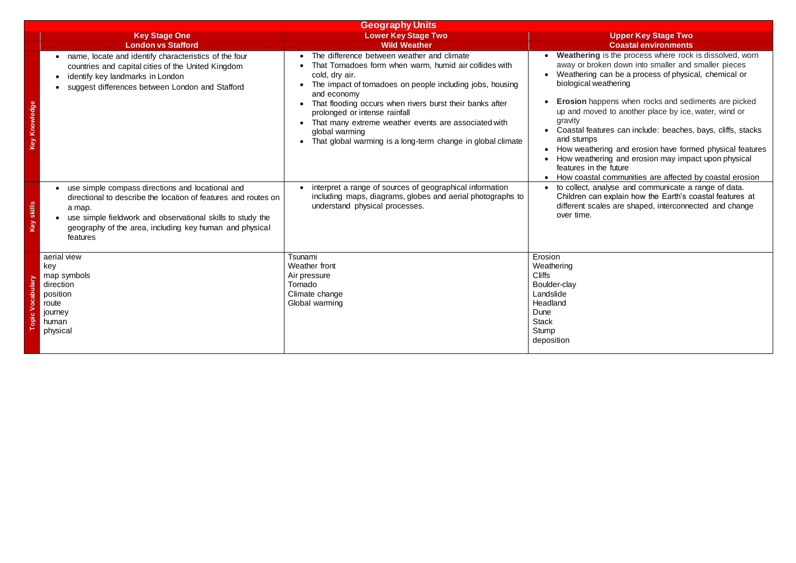**Erosion** happens when rocks and sediments are picked ed to another place by ice, water, wind or

tures can include: beaches, bays, cliffs, stacks

ring and erosion have formed physical features ring and erosion may impact upon physical he future

communities are affected by coastal erosion to collect, analyse and communicate a range of data. Children can explain how the Earth's coastal features at ales are shaped, interconnected and change

|            |                                                                                                                                                                                                                                                                                | <b>Geography Units</b>                                                                                                                                                                                                                                                                                                                                                                                                                                |                                                                                                                                                                                                                |
|------------|--------------------------------------------------------------------------------------------------------------------------------------------------------------------------------------------------------------------------------------------------------------------------------|-------------------------------------------------------------------------------------------------------------------------------------------------------------------------------------------------------------------------------------------------------------------------------------------------------------------------------------------------------------------------------------------------------------------------------------------------------|----------------------------------------------------------------------------------------------------------------------------------------------------------------------------------------------------------------|
|            | <b>Key Stage One</b>                                                                                                                                                                                                                                                           | <b>Lower Key Stage Two</b>                                                                                                                                                                                                                                                                                                                                                                                                                            |                                                                                                                                                                                                                |
|            | <b>London vs Stafford</b>                                                                                                                                                                                                                                                      | <b>Wild Weather</b>                                                                                                                                                                                                                                                                                                                                                                                                                                   |                                                                                                                                                                                                                |
| Knowledge  | name, locate and identify characteristics of the four<br>countries and capital cities of the United Kingdom<br>identify key landmarks in London<br>suggest differences between London and Stafford                                                                             | The difference between weather and climate<br>That Tornadoes form when warm, humid air collides with<br>cold, dry air.<br>The impact of tornadoes on people including jobs, housing<br>$\bullet$<br>and economy<br>That flooding occurs when rivers burst their banks after<br>prolonged or intense rainfall<br>That many extreme weather events are associated with<br>global warming<br>That global warming is a long-term change in global climate | Weathering<br>away or brok<br>Weathering<br>biological we<br><b>Erosion</b> hap<br>up and move<br>gravity<br><b>Coastal featu</b><br>and stumps<br>How weather<br>How weather<br>features in th<br>How coastal |
| Key skills | use simple compass directions and locational and<br>$\bullet$<br>directional to describe the location of features and routes on<br>a map.<br>use simple fieldwork and observational skills to study the<br>geography of the area, including key human and physical<br>features | interpret a range of sources of geographical information<br>including maps, diagrams, globes and aerial photographs to<br>understand physical processes.                                                                                                                                                                                                                                                                                              | to collect, an<br>Children can<br>different scal<br>over time.                                                                                                                                                 |
|            | aerial view<br>key<br>map symbols<br>direction<br>position<br>route<br>journey<br>human<br>physical                                                                                                                                                                            | Tsunami<br>Weather front<br>Air pressure<br>Tornado<br>Climate change<br>Global warming                                                                                                                                                                                                                                                                                                                                                               | Erosion<br>Weathering<br><b>Cliffs</b><br>Boulder-clay<br>Landslide<br>Headland<br>Dune<br><b>Stack</b><br>Stump<br>deposition                                                                                 |

**Key Stage Two London Coastal environments** 

is the process where rock is dissolved, worn ken down into smaller and smaller pieces can be a process of physical, chemical or eathering